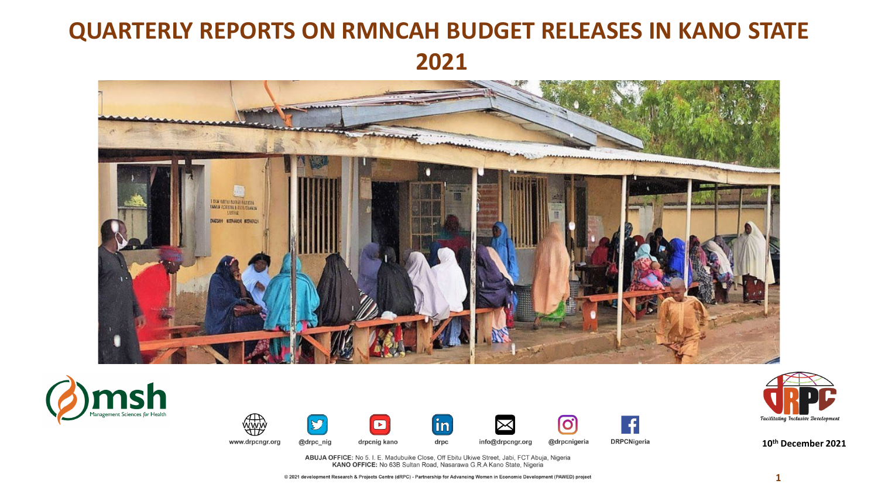# **QUARTERLY REPORTS ON RMNCAH BUDGET RELEASES IN KANO STATE 2021**





**Tacilitating Inclusive Development** 

**10th December 2021**

ABUJA OFFICE: No 5. I. E. Madubuike Close, Off Ebitu Ukiwe Street, Jabi, FCT Abuja, Nigeria<br>KANO OFFICE: No 63B Sultan Road, Nasarawa G.R.A Kano State, Nigeria

 $\left(\mathbf{\hat{i}}\mathbf{n}\right)$ 

drpc

info@drpcngr.org

 $\blacktriangleright$ 

drpcnig kano

www.drpcngr.org

@drpc\_nig

**O** 

@drpcnigeria

**DRPCNigeria** 

@ 2021 development Research & Projects Centre (dRPC) - Partnership for Advancing Women in Economic Development (PAWED) project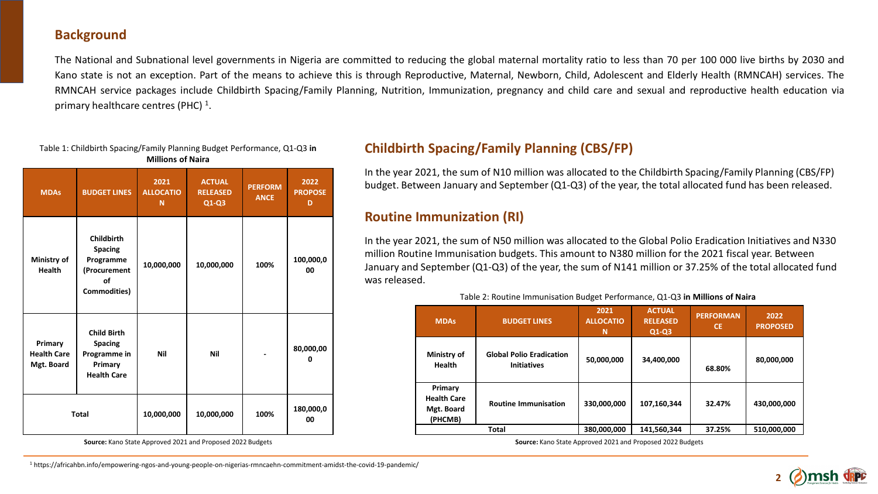#### **Background**

The National and Subnational level governments in Nigeria are committed to reducing the global maternal mortality ratio to less than 70 per 100 000 live births by 2030 and Kano state is not an exception. Part of the means to achieve this is through Reproductive, Maternal, Newborn, Child, Adolescent and Elderly Health (RMNCAH) services. The RMNCAH service packages include Childbirth Spacing/Family Planning, Nutrition, Immunization, pregnancy and child care and sexual and reproductive health education via primary healthcare centres (PHC)<sup>1</sup>.

#### Table 1: Childbirth Spacing/Family Planning Budget Performance, Q1-Q3 **in Millions of Naira**

| <b>MDAs</b>                                                                                                                          | <b>BUDGET LINES</b>                                                                    | 2021<br><b>ALLOCATIO</b><br>N | <b>ACTUAL</b><br><b>RELEASED</b><br>$Q1-Q3$ | <b>PERFORM</b><br><b>ANCE</b> | 2022<br><b>PROPOSE</b><br>D |
|--------------------------------------------------------------------------------------------------------------------------------------|----------------------------------------------------------------------------------------|-------------------------------|---------------------------------------------|-------------------------------|-----------------------------|
| Ministry of<br><b>Health</b>                                                                                                         | <b>Childbirth</b><br><b>Spacing</b><br>Programme<br>(Procurement<br>οf<br>Commodities) | 10,000,000                    | 10,000,000                                  | 100%                          | 100,000,0<br>00             |
| <b>Child Birth</b><br>Primary<br><b>Spacing</b><br><b>Health Care</b><br>Programme in<br>Mgt. Board<br>Primary<br><b>Health Care</b> |                                                                                        | Nil                           | Nil                                         |                               | 80,000,00<br>ŋ              |
| <b>Total</b>                                                                                                                         |                                                                                        | 10,000,000                    | 10,000,000                                  | 100%                          | 180,000,0<br>00             |

**Source:** Kano State Approved 2021 and Proposed 2022 Budgets

# **Childbirth Spacing/Family Planning (CBS/FP)**

In the year 2021, the sum of N10 million was allocated to the Childbirth Spacing/Family Planning (CBS/FP) budget. Between January and September (Q1-Q3) of the year, the total allocated fund has been released.

### **Routine Immunization (RI)**

In the year 2021, the sum of N50 million was allocated to the Global Polio Eradication Initiatives and N330 million Routine Immunisation budgets. This amount to N380 million for the 2021 fiscal year. Between January and September (Q1-Q3) of the year, the sum of N141 million or 37.25% of the total allocated fund was released.

#### Table 2: Routine Immunisation Budget Performance, Q1-Q3 **in Millions of Naira**

| <b>MDAs</b>                                            | <b>BUDGET LINES</b>                                   | 2021<br><b>ALLOCATIO</b><br>N | <b>ACTUAL</b><br><b>RELEASED</b><br>$Q1-Q3$ | <b>PERFORMAN</b><br><b>CE</b> | 2022<br><b>PROPOSED</b> |
|--------------------------------------------------------|-------------------------------------------------------|-------------------------------|---------------------------------------------|-------------------------------|-------------------------|
| Ministry of<br><b>Health</b>                           | <b>Global Polio Eradication</b><br><b>Initiatives</b> | 50,000,000                    | 34,400,000                                  | 68.80%                        | 80,000,000              |
| Primary<br><b>Health Care</b><br>Mgt. Board<br>(PHCMB) | <b>Routine Immunisation</b>                           | 330,000,000                   | 107,160,344                                 | 32.47%                        | 430,000,000             |
| Total                                                  |                                                       | 380,000,000                   | 141,560,344                                 | 37.25%                        | 510,000,000             |

**Source:** Kano State Approved 2021 and Proposed 2022 Budgets



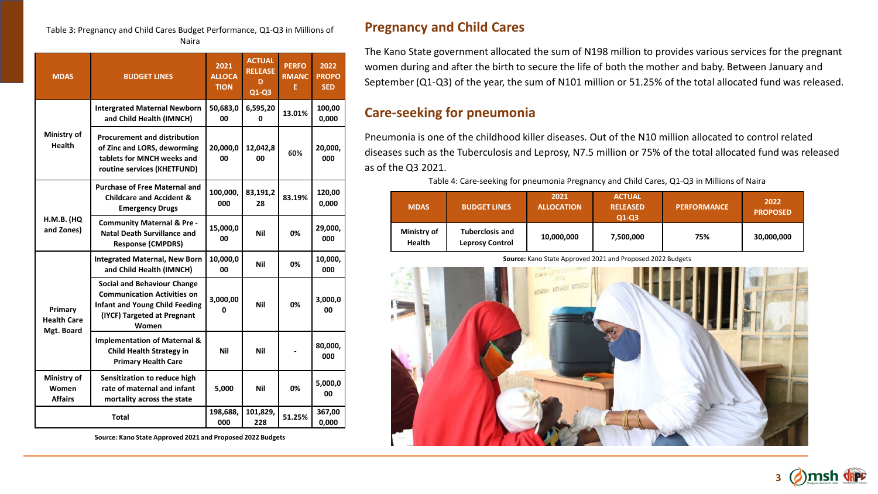#### Table 3: Pregnancy and Child Cares Budget Performance, Q1-Q3 in Millions of Naira

| <b>MDAS</b>                                 | <b>BUDGET LINES</b>                                                                                                                                       | 2021<br><b>ALLOCA</b><br><b>TION</b> | <b>ACTUAL</b><br><b>RELEASE</b><br>D<br>$Q1-Q3$ | <b>PERFO</b><br><b>RMANC</b><br>E. | 2022<br><b>PROPO</b><br><b>SED</b> |
|---------------------------------------------|-----------------------------------------------------------------------------------------------------------------------------------------------------------|--------------------------------------|-------------------------------------------------|------------------------------------|------------------------------------|
|                                             | <b>Intergrated Maternal Newborn</b><br>and Child Health (IMNCH)                                                                                           | 50,683,0<br>00                       | 6,595,20<br>0                                   | 13.01%                             | 100,00<br>0,000                    |
| Ministry of<br><b>Health</b>                | <b>Procurement and distribution</b><br>of Zinc and LORS, deworming<br>tablets for MNCH weeks and<br>routine services (KHETFUND)                           | 20,000,0<br>00                       | 12,042,8<br>00                                  | 60%                                | 20,000,<br>000                     |
|                                             | <b>Purchase of Free Maternal and</b><br><b>Childcare and Accident &amp;</b><br><b>Emergency Drugs</b>                                                     | 100,000,<br>000                      | 83,191,2<br>28                                  | 83.19%                             | 120,00<br>0,000                    |
| <b>H.M.B. (HQ</b><br>and Zones)             | <b>Community Maternal &amp; Pre-</b><br><b>Natal Death Survillance and</b><br><b>Response (CMPDRS)</b>                                                    | 15,000,0<br>00                       | Nil                                             | 0%                                 | 29,000,<br>000                     |
|                                             | <b>Integrated Maternal, New Born</b><br>and Child Health (IMNCH)                                                                                          | 10,000,0<br>00                       | Nil                                             | 0%                                 | 10,000,<br>000                     |
| Primary<br><b>Health Care</b><br>Mgt. Board | <b>Social and Behaviour Change</b><br><b>Communication Activities on</b><br><b>Infant and Young Child Feeding</b><br>(IYCF) Targeted at Pregnant<br>Women | 3,000,00                             | Nil                                             | 0%                                 | 3,000,0<br>00                      |
|                                             | <b>Implementation of Maternal &amp;</b><br><b>Child Health Strategy in</b><br><b>Primary Health Care</b>                                                  | Nil                                  | Nil                                             |                                    | 80,000,<br>000                     |
| Ministry of<br>Women<br><b>Affairs</b>      | Sensitization to reduce high<br>rate of maternal and infant<br>mortality across the state                                                                 | 5,000                                | <b>Nil</b>                                      | 0%                                 | 5,000,0<br>00                      |
| Total                                       |                                                                                                                                                           | 198,688,<br>000                      | 101,829,<br>228                                 | 51.25%                             | 367,00<br>0,000                    |

**Source: Kano State Approved 2021 and Proposed 2022 Budgets**

# **Pregnancy and Child Cares**

The Kano State government allocated the sum of N198 million to provides various services for the pregnant women during and after the birth to secure the life of both the mother and baby. Between January and September (Q1-Q3) of the year, the sum of N101 million or 51.25% of the total allocated fund was released.

# **Care-seeking for pneumonia**

Pneumonia is one of the childhood killer diseases. Out of the N10 million allocated to control related diseases such as the Tuberculosis and Leprosy, N7.5 million or 75% of the total allocated fund was released as of the Q3 2021.

Table 4: Care-seeking for pneumonia Pregnancy and Child Cares, Q1-Q3 in Millions of Naira

| <b>MDAS</b>                  | <b>BUDGET LINES</b>                              | 2021<br><b>ALLOCATION</b> | <b>ACTUAL</b><br><b>RELEASED</b><br>$Q1-Q3$ | <b>PERFORMANCE</b> | 2022<br><b>PROPOSED</b> |
|------------------------------|--------------------------------------------------|---------------------------|---------------------------------------------|--------------------|-------------------------|
| Ministry of<br><b>Health</b> | <b>Tuberclosis and</b><br><b>Leprosy Control</b> | 10,000,000                | 7,500,000                                   | 75%                | 30,000,000              |

**Source:** Kano State Approved 2021 and Proposed 2022 Budgets



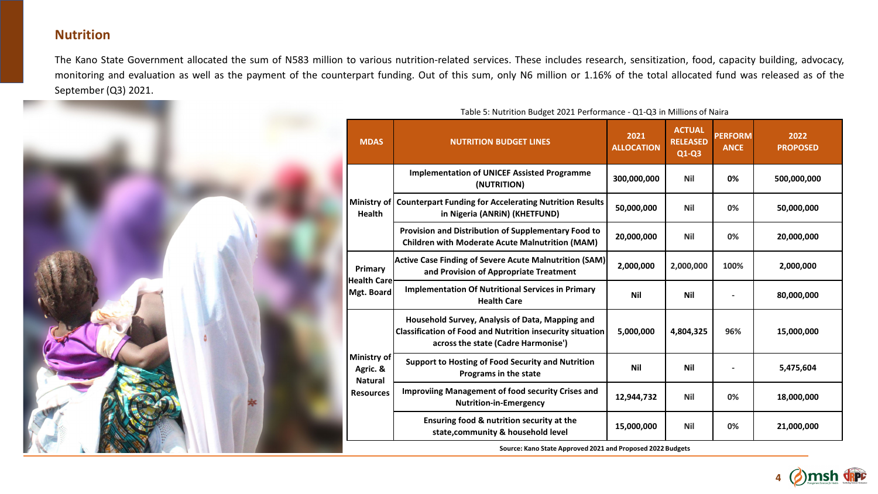### **Nutrition**

The Kano State Government allocated the sum of N583 million to various nutrition-related services. These includes research, sensitization, food, capacity building, advocacy, monitoring and evaluation as well as the payment of the counterpart funding. Out of this sum, only N6 million or 1.16% of the total allocated fund was released as of the September (Q3) 2021.



| <b>MDAS</b>                                                   | <b>NUTRITION BUDGET LINES</b>                                                                                                                              | 2021<br><b>ALLOCATION</b> | <b>ACTUAL</b><br><b>RELEASED</b><br>$Q1-Q3$ | <b>PERFORM</b><br><b>ANCE</b> | 2022<br><b>PROPOSED</b> |  |
|---------------------------------------------------------------|------------------------------------------------------------------------------------------------------------------------------------------------------------|---------------------------|---------------------------------------------|-------------------------------|-------------------------|--|
| <b>Health</b>                                                 | <b>Implementation of UNICEF Assisted Programme</b><br>(NUTRITION)                                                                                          | 300,000,000               | <b>Nil</b>                                  | 0%                            | 500,000,000             |  |
|                                                               | Ministry of Counterpart Funding for Accelerating Nutrition Results<br>in Nigeria (ANRIN) (KHETFUND)                                                        | 50,000,000                | <b>Nil</b>                                  | 0%                            | 50,000,000              |  |
|                                                               | Provision and Distribution of Supplementary Food to<br><b>Children with Moderate Acute Malnutrition (MAM)</b>                                              | 20,000,000                | <b>Nil</b>                                  | 0%                            | 20,000,000              |  |
| Primary<br><b>Health Care</b><br>Mgt. Board                   | <b>Active Case Finding of Severe Acute Malnutrition (SAM)</b><br>and Provision of Appropriate Treatment                                                    | 2,000,000                 | 2,000,000                                   | 100%                          | 2,000,000               |  |
|                                                               | <b>Implementation Of Nutritional Services in Primary</b><br><b>Health Care</b>                                                                             | Nil                       | Nil                                         |                               | 80,000,000              |  |
| Ministry of<br>Agric. &<br><b>Natural</b><br><b>Resources</b> | Household Survey, Analysis of Data, Mapping and<br><b>Classification of Food and Nutrition insecurity situation</b><br>across the state (Cadre Harmonise') | 5,000,000                 | 4,804,325                                   | 96%                           | 15,000,000              |  |
|                                                               | <b>Support to Hosting of Food Security and Nutrition</b><br>Programs in the state                                                                          | <b>Nil</b>                | <b>Nil</b>                                  |                               | 5,475,604               |  |
|                                                               | <b>Improviing Management of food security Crises and</b><br><b>Nutrition-in-Emergency</b>                                                                  | 12,944,732                | <b>Nil</b>                                  | 0%                            | 18,000,000              |  |
|                                                               | Ensuring food & nutrition security at the<br>state, community & household level                                                                            | 15,000,000                | <b>Nil</b>                                  | 0%                            | 21,000,000              |  |
| Source: Kano State Approved 2021 and Proposed 2022 Budgets    |                                                                                                                                                            |                           |                                             |                               |                         |  |

**4**

msh dippe

Table 5: Nutrition Budget 2021 Performance - Q1-Q3 in Millions of Naira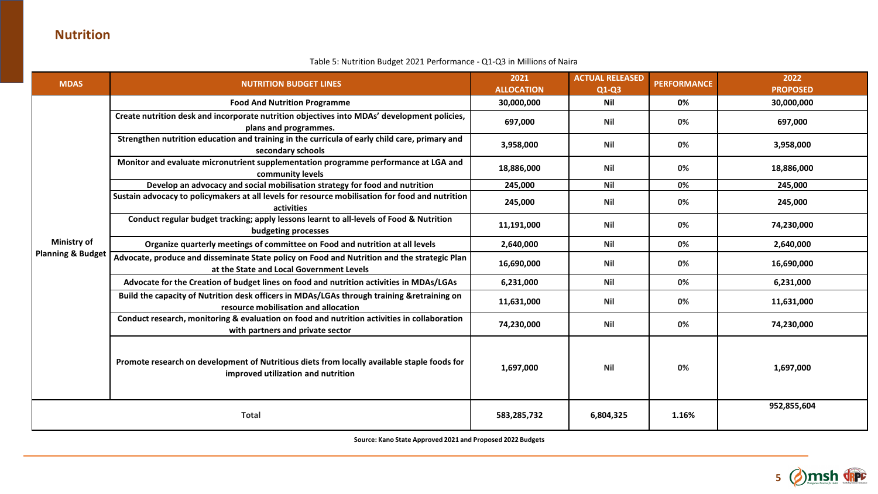# **Nutrition**

#### Table 5: Nutrition Budget 2021 Performance - Q1-Q3 in Millions of Naira

| <b>MDAS</b>                  | <b>NUTRITION BUDGET LINES</b>                                                                                                           | 2021<br><b>ALLOCATION</b> | <b>ACTUAL RELEASED</b><br>$Q1-Q3$ | <b>PERFORMANCE</b> | 2022<br><b>PROPOSED</b> |
|------------------------------|-----------------------------------------------------------------------------------------------------------------------------------------|---------------------------|-----------------------------------|--------------------|-------------------------|
|                              | <b>Food And Nutrition Programme</b>                                                                                                     | 30,000,000                | Nil                               | 0%                 | 30,000,000              |
|                              | Create nutrition desk and incorporate nutrition objectives into MDAs' development policies,<br>plans and programmes.                    | 697,000                   | <b>Nil</b>                        | 0%                 | 697,000                 |
|                              | Strengthen nutrition education and training in the curricula of early child care, primary and<br>secondary schools                      | 3,958,000                 | Nil                               | 0%                 | 3,958,000               |
|                              | Monitor and evaluate micronutrient supplementation programme performance at LGA and<br>community levels                                 | 18,886,000                | <b>Nil</b>                        | 0%                 | 18,886,000              |
|                              | Develop an advocacy and social mobilisation strategy for food and nutrition                                                             | 245,000                   | <b>Nil</b>                        | 0%                 | 245,000                 |
|                              | Sustain advocacy to policymakers at all levels for resource mobilisation for food and nutrition<br>activities                           | 245,000                   | <b>Nil</b>                        | 0%                 | 245,000                 |
|                              | Conduct regular budget tracking; apply lessons learnt to all-levels of Food & Nutrition<br>budgeting processes                          | 11,191,000                | <b>Nil</b>                        | 0%                 | 74,230,000              |
| <b>Ministry of</b>           | Organize quarterly meetings of committee on Food and nutrition at all levels                                                            | 2,640,000                 | <b>Nil</b>                        | 0%                 | 2,640,000               |
| <b>Planning &amp; Budget</b> | Advocate, produce and disseminate State policy on Food and Nutrition and the strategic Plan<br>at the State and Local Government Levels | 16,690,000                | <b>Nil</b>                        | 0%                 | 16,690,000              |
|                              | Advocate for the Creation of budget lines on food and nutrition activities in MDAs/LGAs                                                 | 6,231,000                 | <b>Nil</b>                        | 0%                 | 6,231,000               |
|                              | Build the capacity of Nutrition desk officers in MDAs/LGAs through training &retraining on<br>resource mobilisation and allocation      | 11,631,000                | <b>Nil</b>                        | 0%                 | 11,631,000              |
|                              | Conduct research, monitoring & evaluation on food and nutrition activities in collaboration<br>with partners and private sector         | 74,230,000                | <b>Nil</b>                        | 0%                 | 74,230,000              |
|                              | Promote research on development of Nutritious diets from locally available staple foods for<br>improved utilization and nutrition       | 1,697,000                 | <b>Nil</b>                        | 0%                 | 1,697,000               |
| <b>Total</b>                 |                                                                                                                                         | 583,285,732               | 6,804,325                         | 1.16%              | 952,855,604             |

**Source: Kano State Approved 2021 and Proposed 2022 Budgets**